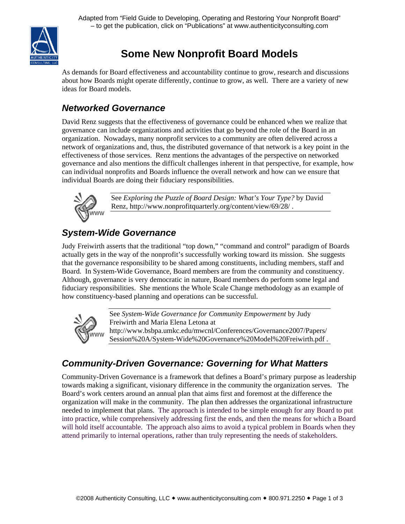

# **Some New Nonprofit Board Models**

As demands for Board effectiveness and accountability continue to grow, research and discussions about how Boards might operate differently, continue to grow, as well. There are a variety of new ideas for Board models.

## *Networked Governance*

David Renz suggests that the effectiveness of governance could be enhanced when we realize that governance can include organizations and activities that go beyond the role of the Board in an organization. Nowadays, many nonprofit services to a community are often delivered across a network of organizations and, thus, the distributed governance of that network is a key point in the effectiveness of those services. Renz mentions the advantages of the perspective on networked governance and also mentions the difficult challenges inherent in that perspective, for example, how can individual nonprofits and Boards influence the overall network and how can we ensure that individual Boards are doing their fiduciary responsibilities.



See *Exploring the Puzzle of Board Design: What's Your Type?* by David Renz, http://www.nonprofitquarterly.org/content/view/69/28/ .

#### *System-Wide Governance*

Judy Freiwirth asserts that the traditional "top down," "command and control" paradigm of Boards actually gets in the way of the nonprofit's successfully working toward its mission. She suggests that the governance responsibility to be shared among constituents, including members, staff and Board. In System-Wide Governance, Board members are from the community and constituency. Although, governance is very democratic in nature, Board members do perform some legal and fiduciary responsibilities. She mentions the Whole Scale Change methodology as an example of how constituency-based planning and operations can be successful.



See *System-Wide Governance for Community Empowerment* by Judy Freiwirth and Maria Elena Letona at http://www.bsbpa.umkc.edu/mwcnl/Conferences/Governance2007/Papers/ Session%20A/System-Wide%20Governance%20Model%20Freiwirth.pdf .

## *Community-Driven Governance: Governing for What Matters*

Community-Driven Governance is a framework that defines a Board's primary purpose as leadership towards making a significant, visionary difference in the community the organization serves. The Board's work centers around an annual plan that aims first and foremost at the difference the organization will make in the community. The plan then addresses the organizational infrastructure needed to implement that plans. The approach is intended to be simple enough for any Board to put into practice, while comprehensively addressing first the ends, and then the means for which a Board will hold itself accountable. The approach also aims to avoid a typical problem in Boards when they attend primarily to internal operations, rather than truly representing the needs of stakeholders.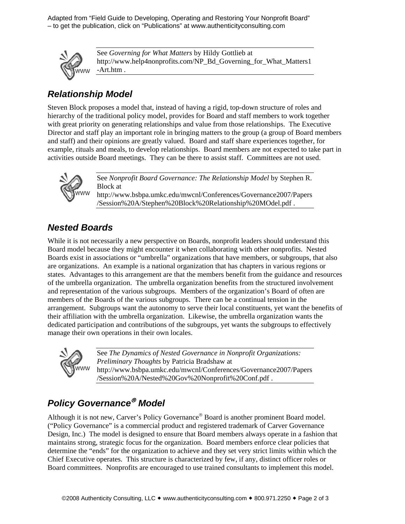Adapted from "Field Guide to Developing, Operating and Restoring Your Nonprofit Board" – to get the publication, click on "Publications" at www.authenticityconsulting.com



See *Governing for What Matters* by Hildy Gottlieb at http://www.help4nonprofits.com/NP\_Bd\_Governing\_for\_What\_Matters1 -Art.htm .

#### *Relationship Model*

Steven Block proposes a model that, instead of having a rigid, top-down structure of roles and hierarchy of the traditional policy model, provides for Board and staff members to work together with great priority on generating relationships and value from those relationships. The Executive Director and staff play an important role in bringing matters to the group (a group of Board members and staff) and their opinions are greatly valued. Board and staff share experiences together, for example, rituals and meals, to develop relationships. Board members are not expected to take part in activities outside Board meetings. They can be there to assist staff. Committees are not used.



See *Nonprofit Board Governance: The Relationship Model* by Stephen R. Block at http://www.bsbpa.umkc.edu/mwcnl/Conferences/Governance2007/Papers

/Session%20A/Stephen%20Block%20Relationship%20MOdel.pdf .

#### *Nested Boards*

While it is not necessarily a new perspective on Boards, nonprofit leaders should understand this Board model because they might encounter it when collaborating with other nonprofits. Nested Boards exist in associations or "umbrella" organizations that have members, or subgroups, that also are organizations. An example is a national organization that has chapters in various regions or states. Advantages to this arrangement are that the members benefit from the guidance and resources of the umbrella organization. The umbrella organization benefits from the structured involvement and representation of the various subgroups. Members of the organization's Board of often are members of the Boards of the various subgroups. There can be a continual tension in the arrangement. Subgroups want the autonomy to serve their local constituents, yet want the benefits of their affiliation with the umbrella organization. Likewise, the umbrella organization wants the dedicated participation and contributions of the subgroups, yet wants the subgroups to effectively manage their own operations in their own locales.



See *The Dynamics of Nested Governance in Nonprofit Organizations: Preliminary Thoughts* by Patricia Bradshaw at http://www.bsbpa.umkc.edu/mwcnl/Conferences/Governance2007/Papers /Session%20A/Nested%20Gov%20Nonprofit%20Conf.pdf .

### *Policy Governance*® *Model*

Although it is not new, Carver's Policy Governance® Board is another prominent Board model. ("Policy Governance" is a commercial product and registered trademark of Carver Governance Design, Inc.) The model is designed to ensure that Board members always operate in a fashion that maintains strong, strategic focus for the organization. Board members enforce clear policies that determine the "ends" for the organization to achieve and they set very strict limits within which the Chief Executive operates. This structure is characterized by few, if any, distinct officer roles or Board committees. Nonprofits are encouraged to use trained consultants to implement this model.